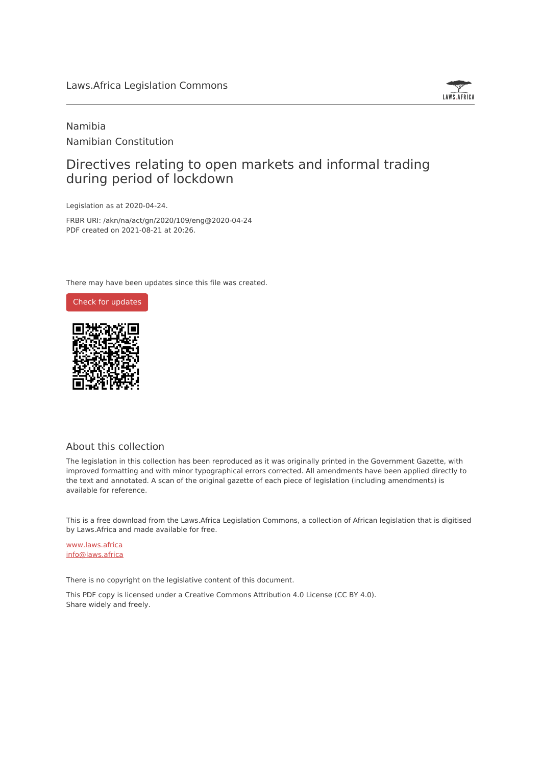

# Namibia Namibian Constitution

# Directives relating to open markets and informal trading during period of lockdown

Legislation as at 2020-04-24.

FRBR URI: /akn/na/act/gn/2020/109/eng@2020-04-24 PDF created on 2021-08-21 at 20:26.

There may have been updates since this file was created.



#### About this collection

The legislation in this collection has been reproduced as it was originally printed in the Government Gazette, with improved formatting and with minor typographical errors corrected. All amendments have been applied directly to the text and annotated. A scan of the original gazette of each piece of legislation (including amendments) is available for reference.

This is a free download from the Laws.Africa Legislation Commons, a collection of African legislation that is digitised by Laws.Africa and made available for free.

[www.laws.africa](https://www.laws.africa) [info@laws.africa](mailto:info@laws.africa)

There is no copyright on the legislative content of this document.

This PDF copy is licensed under a Creative Commons Attribution 4.0 License (CC BY 4.0). Share widely and freely.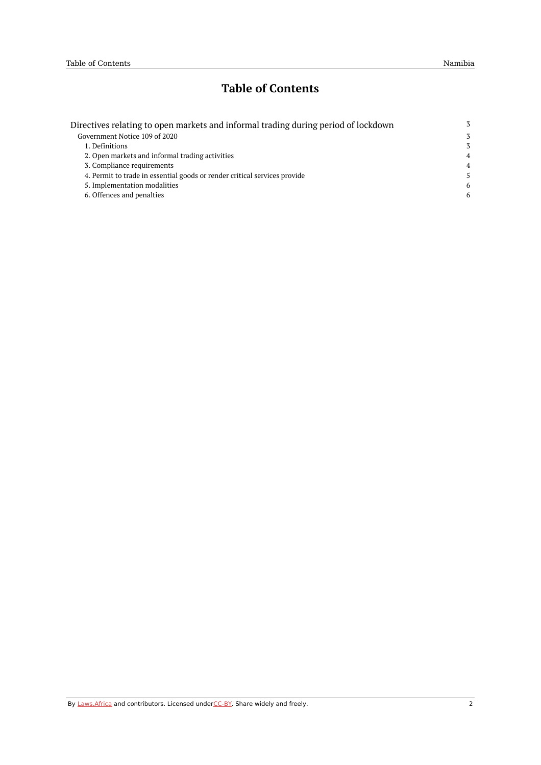# **Table of Contents**

| Directives relating to open markets and informal trading during period of lockdown | 3              |
|------------------------------------------------------------------------------------|----------------|
| Government Notice 109 of 2020                                                      | 3              |
| 1. Definitions                                                                     | 3              |
| 2. Open markets and informal trading activities                                    | $\overline{4}$ |
| 3. Compliance requirements                                                         | $\overline{4}$ |
| 4. Permit to trade in essential goods or render critical services provide          | .5             |
| 5. Implementation modalities                                                       | 6              |
| 6. Offences and penalties                                                          | 6              |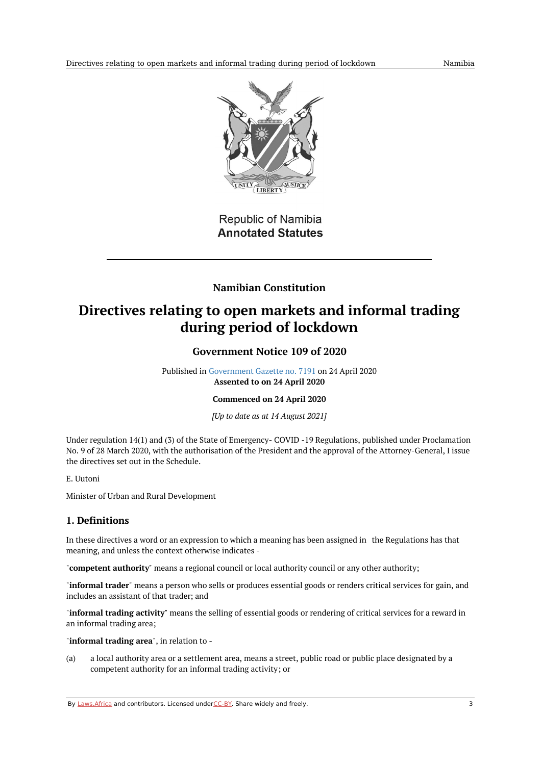

Republic of Namibia **Annotated Statutes** 

# **Namibian Constitution**

# <span id="page-2-1"></span><span id="page-2-0"></span>**Directives relating to open markets and informal trading during period of lockdown**

## **Government Notice 109 of 2020**

Published in [Government](https://commons.laws.africa/akn/na/act/gn/2020/109/media/publication/na-act-gn-2020-109-publication-document.pdf) Gazette no. 7191 on 24 April 2020 **Assented to on 24 April 2020**

## **Commenced on 24 April 2020**

*[Up to date as at 14 August 2021]*

Under regulation 14(1) and (3) of the State of Emergency- COVID -19 Regulations, published under Proclamation No. 9 of 28 March 2020, with the authorisation of the President and the approval of the Attorney-General, I issue the directives set out in the Schedule.

E. Uutoni

Minister of Urban and Rural Development

## <span id="page-2-2"></span>**1. Definitions**

In these directives a word or an expression to which a meaning has been assigned in the Regulations has that meaning, and unless the context otherwise indicates -

"**competent authority**" means a regional council or local authority council or any other authority;

"**informal trader**" means a person who sells or produces essential goods or renders critical services for gain, and includes an assistant of that trader; and

"**informal trading activity**" means the selling of essential goods or rendering of critical services for a reward in an informal trading area;

"**informal trading area**", in relation to -

(a) a local authority area or a settlement area, means a street, public road or public place designated by a competent authority for an informal trading activity; or

By [Laws.Africa](https://edit.laws.africa/widgets/pdf-attribution) and contributors. Licensed und[erCC-B](https://edit.laws.africa/widgets/pdf-cc-by)Y. Share widely and freely. 3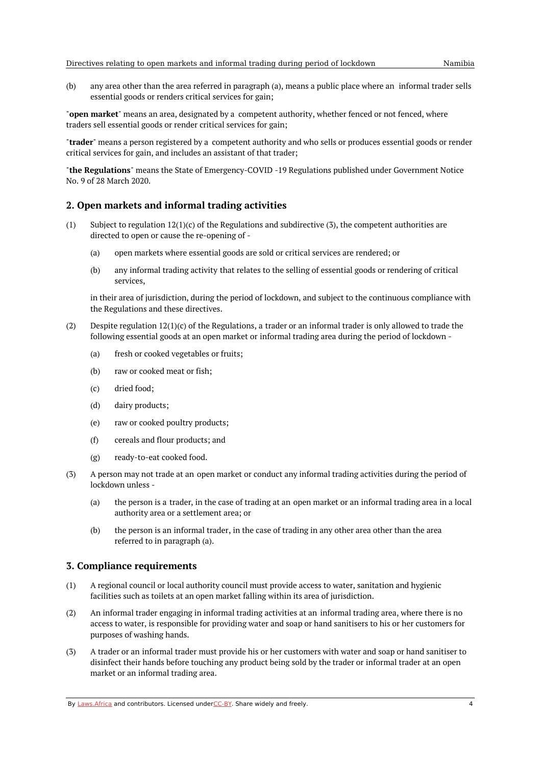(b) any area other than the area referred in paragraph (a), means a public place where an informal trader sells essential goods or renders critical services for gain;

"**open market**" means an area, designated by a competent authority, whether fenced or not fenced, where traders sell essential goods or render critical services for gain;

"**trader**" means a person registered by a competent authority and who sells or produces essential goods or render critical services for gain, and includes an assistant of that trader;

"**the Regulations**" means the State of Emergency-COVID -19 Regulations published under Government Notice No. 9 of 28 March 2020.

#### <span id="page-3-0"></span>**2. Open markets and informal trading activities**

- (1) Subject to regulation  $12(1)(c)$  of the Regulations and subdirective (3), the competent authorities are directed to open or cause the re-opening of -
	- (a) open markets where essential goods are sold or critical services are rendered; or
	- (b) any informal trading activity that relates to the selling of essential goods or rendering of critical services,

in their area of jurisdiction, during the period of lockdown, and subject to the continuous compliance with the Regulations and these directives.

- (2) Despite regulation 12(1)(c) of the Regulations, a trader or an informal trader is only allowed to trade the following essential goods at an open market or informal trading area during the period of lockdown -
	- (a) fresh or cooked vegetables or fruits;
	- (b) raw or cooked meat or fish;
	- (c) dried food;
	- (d) dairy products;
	- (e) raw or cooked poultry products;
	- (f) cereals and flour products; and
	- (g) ready-to-eat cooked food.
- $(3)$ A person may not trade at an open market or conduct any informal trading activities during the period of lockdown unless -
	- (a) the person is a trader, in the case of trading at an open market or an informal trading area in a local authority area or a settlement area; or
	- (b) the person is an informal trader, in the case of trading in any other area other than the area referred to in paragraph (a).

#### <span id="page-3-1"></span>**3. Compliance requirements**

- (1) A regional council or local authority council must provide access to water, sanitation and hygienic facilities such as toilets at an open market falling within its area of jurisdiction.
- (2) An informal trader engaging in informal trading activities at an informal trading area, where there is no access to water, is responsible for providing water and soap or hand sanitisers to his or her customers for purposes of washing hands.
- (3) A trader or an informal trader must provide his or her customers with water and soap or hand sanitiser to disinfect their hands before touching any product being sold by the trader or informal trader at an open market or an informal trading area.

By [Laws.Africa](https://edit.laws.africa/widgets/pdf-attribution) and contributors. Licensed und[erCC-B](https://edit.laws.africa/widgets/pdf-cc-by)Y. Share widely and freely. 4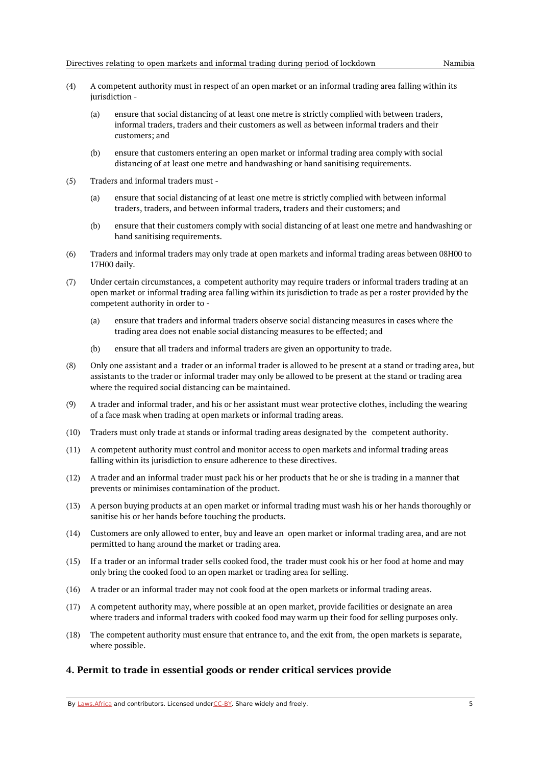- (4) A competent authority must in respect of an open market or an informal trading area falling within its jurisdiction -
	- (a) ensure that social distancing of at least one metre is strictly complied with between traders, informal traders, traders and their customers as well as between informal traders and their customers; and
	- (b) ensure that customers entering an open market or informal trading area comply with social distancing of at least one metre and handwashing or hand sanitising requirements.
- (5) Traders and informal traders must -
	- (a) ensure that social distancing of at least one metre is strictly complied with between informal traders, traders, and between informal traders, traders and their customers; and
	- (b) ensure that their customers comply with social distancing of at least one metre and handwashing or hand sanitising requirements.
- (6) Traders and informal traders may only trade at open markets and informal trading areas between 08H00 to 17H00 daily.
- (7) Under certain circumstances, a competent authority may require traders or informal traders trading at an open market or informal trading area falling within its jurisdiction to trade as per a roster provided by the competent authority in order to -
	- (a) ensure that traders and informal traders observe social distancing measures in cases where the trading area does not enable social distancing measures to be effected; and
	- (b) ensure that all traders and informal traders are given an opportunity to trade.
- (8) Only one assistant and a trader or an informal trader is allowed to be present at a stand or trading area, but assistants to the trader or informal trader may only be allowed to be present at the stand or trading area where the required social distancing can be maintained.
- (9) A trader and informal trader, and his or her assistant must wear protective clothes, including the wearing of a face mask when trading at open markets or informal trading areas.
- (10) Traders must only trade at stands or informal trading areas designated by the competent authority.
- (11) A competent authority must control and monitor access to open markets and informal trading areas falling within its jurisdiction to ensure adherence to these directives.
- (12) A trader and an informal trader must pack his or her products that he or she is trading in a manner that prevents or minimises contamination of the product.
- (13) A person buying products at an open market or informal trading must wash his or her hands thoroughly or sanitise his or her hands before touching the products.
- (14) Customers are only allowed to enter, buy and leave an open market or informal trading area, and are not permitted to hang around the market or trading area.
- $(15)$ If a trader or an informal trader sells cooked food, the trader must cook his or her food at home and may only bring the cooked food to an open market or trading area for selling.
- (16) A trader or an informal trader may not cook food at the open markets or informal trading areas.
- (17) A competent authority may, where possible at an open market, provide facilities or designate an area where traders and informal traders with cooked food may warm up their food for selling purposes only.
- (18) The competent authority must ensure that entrance to, and the exit from, the open markets is separate, where possible.

#### <span id="page-4-0"></span>**4. Permit to trade in essential goods or render critical services provide**

By [Laws.Africa](https://edit.laws.africa/widgets/pdf-attribution) and contributors. Licensed und[erCC-B](https://edit.laws.africa/widgets/pdf-cc-by)Y. Share widely and freely.